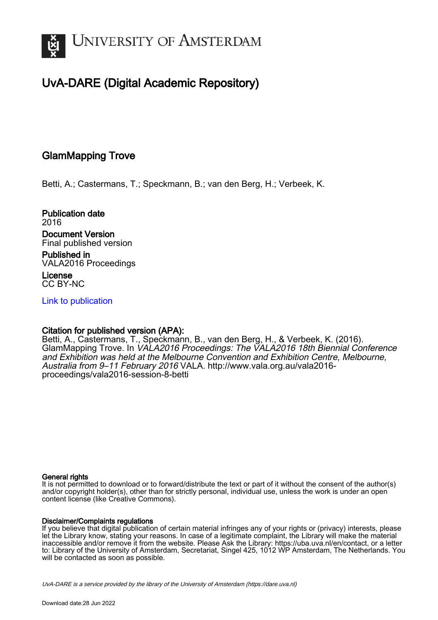

## UvA-DARE (Digital Academic Repository)

#### GlamMapping Trove

Betti, A.; Castermans, T.; Speckmann, B.; van den Berg, H.; Verbeek, K.

Publication date 2016 Document Version Final published version

Published in VALA2016 Proceedings

License CC BY-NC

[Link to publication](https://dare.uva.nl/personal/pure/en/publications/glammapping-trove(9d808272-66f7-4db6-9f14-ebdac032b67a).html)

#### Citation for published version (APA):

Betti, A., Castermans, T., Speckmann, B., van den Berg, H., & Verbeek, K. (2016). GlamMapping Trove. In VALA2016 Proceedings: The VALA2016 18th Biennial Conference and Exhibition was held at the Melbourne Convention and Exhibition Centre, Melbourne, Australia from 9–11 February 2016 VALA. [http://www.vala.org.au/vala2016](http://www.vala.org.au/vala2016-proceedings/vala2016-session-8-betti) [proceedings/vala2016-session-8-betti](http://www.vala.org.au/vala2016-proceedings/vala2016-session-8-betti)

#### General rights

It is not permitted to download or to forward/distribute the text or part of it without the consent of the author(s) and/or copyright holder(s), other than for strictly personal, individual use, unless the work is under an open content license (like Creative Commons).

#### Disclaimer/Complaints regulations

If you believe that digital publication of certain material infringes any of your rights or (privacy) interests, please let the Library know, stating your reasons. In case of a legitimate complaint, the Library will make the material inaccessible and/or remove it from the website. Please Ask the Library: https://uba.uva.nl/en/contact, or a letter to: Library of the University of Amsterdam, Secretariat, Singel 425, 1012 WP Amsterdam, The Netherlands. You will be contacted as soon as possible.

UvA-DARE is a service provided by the library of the University of Amsterdam (http*s*://dare.uva.nl)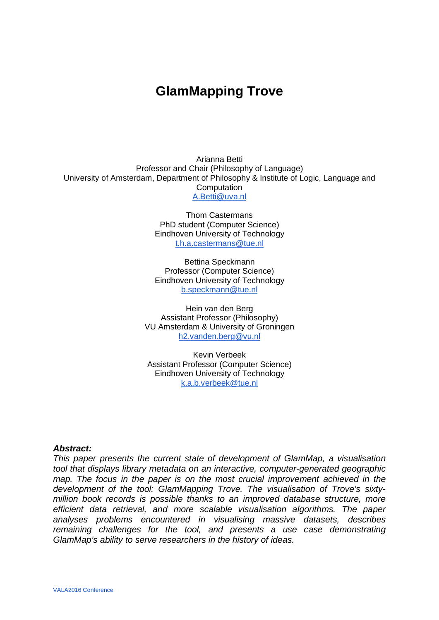# **GlamMapping Trove**

Arianna Betti Professor and Chair (Philosophy of Language) University of Amsterdam, Department of Philosophy & Institute of Logic, Language and Computation [A.Betti@uva.nl](mailto:A.Betti@uva.nl)

> Thom Castermans PhD student (Computer Science) Eindhoven University of Technology [t.h.a.castermans@tue.nl](mailto:t.h.a.castermans@tue.nl)

> Bettina Speckmann Professor (Computer Science) Eindhoven University of Technology [b.speckmann@tue.nl](mailto:b.speckmann@tue.nl)

Hein van den Berg Assistant Professor (Philosophy) VU Amsterdam & University of Groningen [h2.vanden.berg@vu.nl](mailto:h2.vanden.berg@vu.nl)

Kevin Verbeek Assistant Professor (Computer Science) Eindhoven University of Technology [k.a.b.verbeek@tue.nl](mailto:k.a.b.verbeek@tue.nl)

#### *Abstract:*

*This paper presents the current state of development of GlamMap, a visualisation tool that displays library metadata on an interactive, computer-generated geographic map. The focus in the paper is on the most crucial improvement achieved in the development of the tool: GlamMapping Trove. The visualisation of Trove's sixtymillion book records is possible thanks to an improved database structure, more efficient data retrieval, and more scalable visualisation algorithms. The paper analyses problems encountered in visualising massive datasets, describes remaining challenges for the tool, and presents a use case demonstrating GlamMap's ability to serve researchers in the history of ideas.*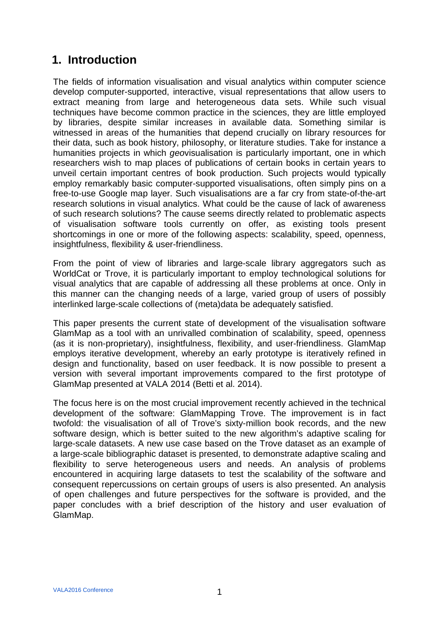### **1. Introduction**

The fields of information visualisation and visual analytics within computer science develop computer-supported, interactive, visual representations that allow users to extract meaning from large and heterogeneous data sets. While such visual techniques have become common practice in the sciences, they are little employed by libraries, despite similar increases in available data. Something similar is witnessed in areas of the humanities that depend crucially on library resources for their data, such as book history, philosophy, or literature studies. Take for instance a humanities projects in which *geo*visualisation is particularly important, one in which researchers wish to map places of publications of certain books in certain years to unveil certain important centres of book production. Such projects would typically employ remarkably basic computer-supported visualisations, often simply pins on a free-to-use Google map layer. Such visualisations are a far cry from state-of-the-art research solutions in visual analytics. What could be the cause of lack of awareness of such research solutions? The cause seems directly related to problematic aspects of visualisation software tools currently on offer, as existing tools present shortcomings in one or more of the following aspects: scalability, speed, openness, insightfulness, flexibility & user-friendliness.

From the point of view of libraries and large-scale library aggregators such as WorldCat or Trove, it is particularly important to employ technological solutions for visual analytics that are capable of addressing all these problems at once. Only in this manner can the changing needs of a large, varied group of users of possibly interlinked large-scale collections of (meta)data be adequately satisfied.

This paper presents the current state of development of the visualisation software GlamMap as a tool with an unrivalled combination of scalability, speed, openness (as it is non-proprietary), insightfulness, flexibility, and user-friendliness. GlamMap employs iterative development, whereby an early prototype is iteratively refined in design and functionality, based on user feedback. It is now possible to present a version with several important improvements compared to the first prototype of GlamMap presented at VALA 2014 (Betti et al. 2014).

The focus here is on the most crucial improvement recently achieved in the technical development of the software: GlamMapping Trove. The improvement is in fact twofold: the visualisation of all of Trove's sixty-million book records, and the new software design, which is better suited to the new algorithm's adaptive scaling for large-scale datasets. A new use case based on the Trove dataset as an example of a large-scale bibliographic dataset is presented, to demonstrate adaptive scaling and flexibility to serve heterogeneous users and needs. An analysis of problems encountered in acquiring large datasets to test the scalability of the software and consequent repercussions on certain groups of users is also presented. An analysis of open challenges and future perspectives for the software is provided, and the paper concludes with a brief description of the history and user evaluation of GlamMap.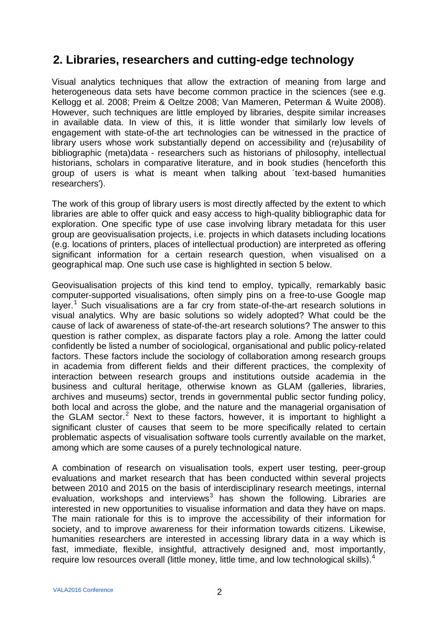### **2. Libraries, researchers and cutting-edge technology**

Visual analytics techniques that allow the extraction of meaning from large and heterogeneous data sets have become common practice in the sciences (see e.g. Kellogg et al. 2008; Preim & Oeltze 2008; Van Mameren, Peterman & Wuite 2008). However, such techniques are little employed by libraries, despite similar increases in available data. In view of this, it is little wonder that similarly low levels of engagement with state-of-the art technologies can be witnessed in the practice of library users whose work substantially depend on accessibility and (re)usability of bibliographic (meta)data - researchers such as historians of philosophy, intellectual historians, scholars in comparative literature, and in book studies (henceforth this group of users is what is meant when talking about ´text-based humanities researchers').

The work of this group of library users is most directly affected by the extent to which libraries are able to offer quick and easy access to high-quality bibliographic data for exploration. One specific type of use case involving library metadata for this user group are geovisualisation projects, i.e. projects in which datasets including locations (e.g. locations of printers, places of intellectual production) are interpreted as offering significant information for a certain research question, when visualised on a geographical map. One such use case is highlighted in section 5 below.

Geovisualisation projects of this kind tend to employ, typically, remarkably basic computer-supported visualisations, often simply pins on a free-to-use Google map layer.<sup>[1](#page-18-0)</sup> Such visualisations are a far cry from state-of-the-art research solutions in visual analytics. Why are basic solutions so widely adopted? What could be the cause of lack of awareness of state-of-the-art research solutions? The answer to this question is rather complex, as disparate factors play a role. Among the latter could confidently be listed a number of sociological, organisational and public policy-related factors. These factors include the sociology of collaboration among research groups in academia from different fields and their different practices, the complexity of interaction between research groups and institutions outside academia in the business and cultural heritage, otherwise known as GLAM (galleries, libraries, archives and museums) sector, trends in governmental public sector funding policy, both local and across the globe, and the nature and the managerial organisation of the GLAM sector.<sup>[2](#page-18-1)</sup> Next to these factors, however, it is important to highlight a significant cluster of causes that seem to be more specifically related to certain problematic aspects of visualisation software tools currently available on the market, among which are some causes of a purely technological nature.

A combination of research on visualisation tools, expert user testing, peer-group evaluations and market research that has been conducted within several projects between 2010 and 2015 on the basis of interdisciplinary research meetings, internal evaluation, workshops and interviews<sup>[3](#page-18-2)</sup> has shown the following. Libraries are interested in new opportunities to visualise information and data they have on maps. The main rationale for this is to improve the accessibility of their information for society, and to improve awareness for their information towards citizens. Likewise, humanities researchers are interested in accessing library data in a way which is fast, immediate, flexible, insightful, attractively designed and, most importantly, require low resources overall (little money, little time, and low technological skills).<sup>[4](#page-18-3)</sup>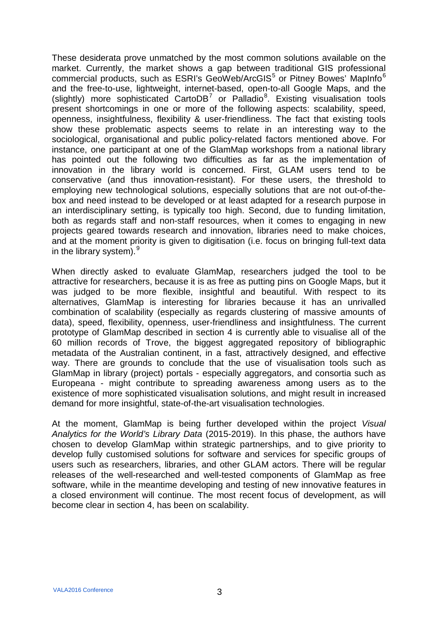These desiderata prove unmatched by the most common solutions available on the market. Currently, the market shows a gap between traditional GIS professional commercial products, such as ESRI's GeoWeb/ArcGIS<sup>[5](#page-18-4)</sup> or Pitney Bowes' MapInfo<sup>[6](#page-18-5)</sup> and the free-to-use, lightweight, internet-based, open-to-all Google Maps, and the (slightly) more sophisticated  $CartoDB<sup>7</sup>$  $CartoDB<sup>7</sup>$  $CartoDB<sup>7</sup>$  or Palladio<sup>[8](#page-18-7)</sup>. Existing visualisation tools present shortcomings in one or more of the following aspects: scalability, speed, openness, insightfulness, flexibility & user-friendliness. The fact that existing tools show these problematic aspects seems to relate in an interesting way to the sociological, organisational and public policy-related factors mentioned above. For instance, one participant at one of the GlamMap workshops from a national library has pointed out the following two difficulties as far as the implementation of innovation in the library world is concerned. First, GLAM users tend to be conservative (and thus innovation-resistant). For these users, the threshold to employing new technological solutions, especially solutions that are not out-of-thebox and need instead to be developed or at least adapted for a research purpose in an interdisciplinary setting, is typically too high. Second, due to funding limitation, both as regards staff and non-staff resources, when it comes to engaging in new projects geared towards research and innovation, libraries need to make choices, and at the moment priority is given to digitisation (i.e. focus on bringing full-text data in the library system).  $9<sup>9</sup>$  $9<sup>9</sup>$ 

When directly asked to evaluate GlamMap, researchers judged the tool to be attractive for researchers, because it is as free as putting pins on Google Maps, but it was judged to be more flexible, insightful and beautiful. With respect to its alternatives, GlamMap is interesting for libraries because it has an unrivalled combination of scalability (especially as regards clustering of massive amounts of data), speed, flexibility, openness, user-friendliness and insightfulness. The current prototype of GlamMap described in section 4 is currently able to visualise all of the 60 million records of Trove, the biggest aggregated repository of bibliographic metadata of the Australian continent, in a fast, attractively designed, and effective way. There are grounds to conclude that the use of visualisation tools such as GlamMap in library (project) portals - especially aggregators, and consortia such as Europeana - might contribute to spreading awareness among users as to the existence of more sophisticated visualisation solutions, and might result in increased demand for more insightful, state-of-the-art visualisation technologies.

At the moment, GlamMap is being further developed within the project *Visual Analytics for the World's Library Data* (2015-2019). In this phase, the authors have chosen to develop GlamMap within strategic partnerships, and to give priority to develop fully customised solutions for software and services for specific groups of users such as researchers, libraries, and other GLAM actors. There will be regular releases of the well-researched and well-tested components of GlamMap as free software, while in the meantime developing and testing of new innovative features in a closed environment will continue. The most recent focus of development, as will become clear in section 4, has been on scalability.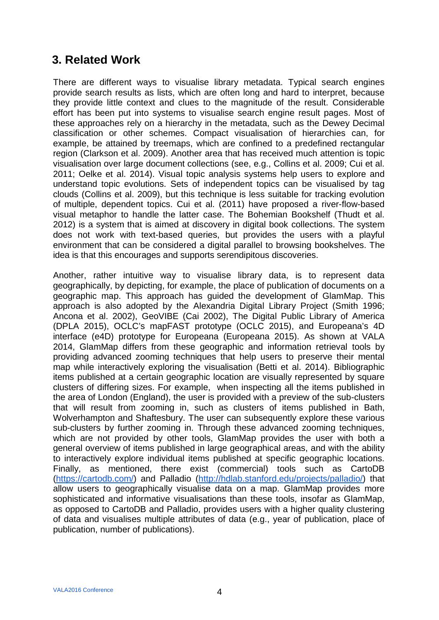### **3. Related Work**

There are different ways to visualise library metadata. Typical search engines provide search results as lists, which are often long and hard to interpret, because they provide little context and clues to the magnitude of the result. Considerable effort has been put into systems to visualise search engine result pages. Most of these approaches rely on a hierarchy in the metadata, such as the Dewey Decimal classification or other schemes. Compact visualisation of hierarchies can, for example, be attained by treemaps, which are confined to a predefined rectangular region (Clarkson et al. 2009). Another area that has received much attention is topic visualisation over large document collections (see, e.g., Collins et al. 2009; Cui et al. 2011; Oelke et al. 2014). Visual topic analysis systems help users to explore and understand topic evolutions. Sets of independent topics can be visualised by tag clouds (Collins et al. 2009), but this technique is less suitable for tracking evolution of multiple, dependent topics. Cui et al. (2011) have proposed a river-flow-based visual metaphor to handle the latter case. The Bohemian Bookshelf (Thudt et al. 2012) is a system that is aimed at discovery in digital book collections. The system does not work with text-based queries, but provides the users with a playful environment that can be considered a digital parallel to browsing bookshelves. The idea is that this encourages and supports serendipitous discoveries.

Another, rather intuitive way to visualise library data, is to represent data geographically, by depicting, for example, the place of publication of documents on a geographic map. This approach has guided the development of GlamMap. This approach is also adopted by the Alexandria Digital Library Project (Smith 1996; Ancona et al. 2002), GeoVIBE (Cai 2002), The Digital Public Library of America (DPLA 2015), OCLC's mapFAST prototype (OCLC 2015), and Europeana's 4D interface (e4D) prototype for Europeana (Europeana 2015). As shown at VALA 2014, GlamMap differs from these geographic and information retrieval tools by providing advanced zooming techniques that help users to preserve their mental map while interactively exploring the visualisation (Betti et al. 2014). Bibliographic items published at a certain geographic location are visually represented by square clusters of differing sizes. For example, when inspecting all the items published in the area of London (England), the user is provided with a preview of the sub-clusters that will result from zooming in, such as clusters of items published in Bath, Wolverhampton and Shaftesbury. The user can subsequently explore these various sub-clusters by further zooming in. Through these advanced zooming techniques, which are not provided by other tools, GlamMap provides the user with both a general overview of items published in large geographical areas, and with the ability to interactively explore individual items published at specific geographic locations. Finally, as mentioned, there exist (commercial) tools such as CartoDB [\(https://cartodb.com/\)](https://cartodb.com/) and Palladio [\(http://hdlab.stanford.edu/projects/palladio/\)](http://hdlab.stanford.edu/projects/palladio/) that allow users to geographically visualise data on a map. GlamMap provides more sophisticated and informative visualisations than these tools, insofar as GlamMap, as opposed to CartoDB and Palladio, provides users with a higher quality clustering of data and visualises multiple attributes of data (e.g., year of publication, place of publication, number of publications).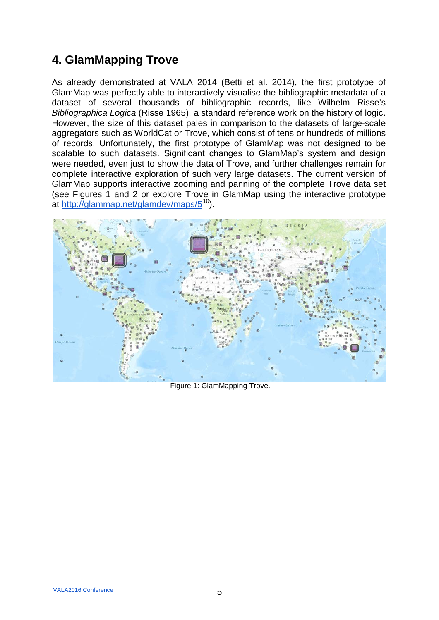## **4. GlamMapping Trove**

As already demonstrated at VALA 2014 (Betti et al. 2014), the first prototype of GlamMap was perfectly able to interactively visualise the bibliographic metadata of a dataset of several thousands of bibliographic records, like Wilhelm Risse's *Bibliographica Logica* (Risse 1965), a standard reference work on the history of logic. However, the size of this dataset pales in comparison to the datasets of large-scale aggregators such as WorldCat or Trove, which consist of tens or hundreds of millions of records. Unfortunately, the first prototype of GlamMap was not designed to be scalable to such datasets. Significant changes to GlamMap's system and design were needed, even just to show the data of Trove, and further challenges remain for complete interactive exploration of such very large datasets. The current version of GlamMap supports interactive zooming and panning of the complete Trove data set (see Figures 1 and 2 or explore Trove in GlamMap using the interactive prototype at<http://glammap.net/glamdev/maps/5><sup>10</sup>).



Figure 1: GlamMapping Trove.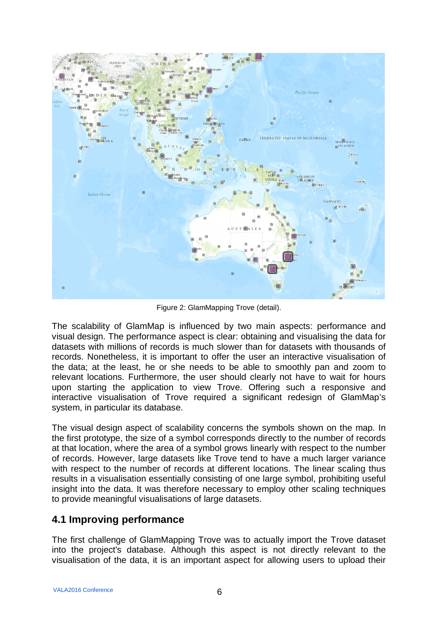

Figure 2: GlamMapping Trove (detail).

The scalability of GlamMap is influenced by two main aspects: performance and visual design. The performance aspect is clear: obtaining and visualising the data for datasets with millions of records is much slower than for datasets with thousands of records. Nonetheless, it is important to offer the user an interactive visualisation of the data; at the least, he or she needs to be able to smoothly pan and zoom to relevant locations. Furthermore, the user should clearly not have to wait for hours upon starting the application to view Trove. Offering such a responsive and interactive visualisation of Trove required a significant redesign of GlamMap's system, in particular its database.

The visual design aspect of scalability concerns the symbols shown on the map. In the first prototype, the size of a symbol corresponds directly to the number of records at that location, where the area of a symbol grows linearly with respect to the number of records. However, large datasets like Trove tend to have a much larger variance with respect to the number of records at different locations. The linear scaling thus results in a visualisation essentially consisting of one large symbol, prohibiting useful insight into the data. It was therefore necessary to employ other scaling techniques to provide meaningful visualisations of large datasets.

#### **4.1 Improving performance**

The first challenge of GlamMapping Trove was to actually import the Trove dataset into the project's database. Although this aspect is not directly relevant to the visualisation of the data, it is an important aspect for allowing users to upload their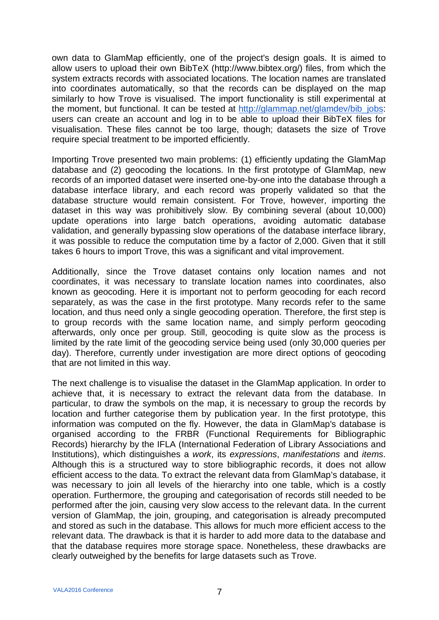own data to GlamMap efficiently, one of the project's design goals. It is aimed to allow users to upload their own BibTeX [\(http://www.bibtex.org/\)](http://www.bibtex.org/) files, from which the system extracts records with associated locations. The location names are translated into coordinates automatically, so that the records can be displayed on the map similarly to how Trove is visualised. The import functionality is still experimental at the moment, but functional. It can be tested at [http://glammap.net/glamdev/bib\\_jobs:](http://glammap.net/glamdev/bib_jobs) users can create an account and log in to be able to upload their BibTeX files for visualisation. These files cannot be too large, though; datasets the size of Trove require special treatment to be imported efficiently.

Importing Trove presented two main problems: (1) efficiently updating the GlamMap database and (2) geocoding the locations. In the first prototype of GlamMap, new records of an imported dataset were inserted one-by-one into the database through a database interface library, and each record was properly validated so that the database structure would remain consistent. For Trove, however, importing the dataset in this way was prohibitively slow. By combining several (about 10,000) update operations into large batch operations, avoiding automatic database validation, and generally bypassing slow operations of the database interface library, it was possible to reduce the computation time by a factor of 2,000. Given that it still takes 6 hours to import Trove, this was a significant and vital improvement.

Additionally, since the Trove dataset contains only location names and not coordinates, it was necessary to translate location names into coordinates, also known as geocoding. Here it is important not to perform geocoding for each record separately, as was the case in the first prototype. Many records refer to the same location, and thus need only a single geocoding operation. Therefore, the first step is to group records with the same location name, and simply perform geocoding afterwards, only once per group. Still, geocoding is quite slow as the process is limited by the rate limit of the geocoding service being used (only 30,000 queries per day). Therefore, currently under investigation are more direct options of geocoding that are not limited in this way.

The next challenge is to visualise the dataset in the GlamMap application. In order to achieve that, it is necessary to extract the relevant data from the database. In particular, to draw the symbols on the map, it is necessary to group the records by location and further categorise them by publication year. In the first prototype, this information was computed on the fly. However, the data in GlamMap's database is organised according to the FRBR (Functional Requirements for Bibliographic Records) hierarchy by the IFLA (International Federation of Library Associations and Institutions), which distinguishes a *work*, its *expressions*, *manifestations* and *items*. Although this is a structured way to store bibliographic records, it does not allow efficient access to the data. To extract the relevant data from GlamMap's database, it was necessary to join all levels of the hierarchy into one table, which is a costly operation. Furthermore, the grouping and categorisation of records still needed to be performed after the join, causing very slow access to the relevant data. In the current version of GlamMap, the join, grouping, and categorisation is already precomputed and stored as such in the database. This allows for much more efficient access to the relevant data. The drawback is that it is harder to add more data to the database and that the database requires more storage space. Nonetheless, these drawbacks are clearly outweighed by the benefits for large datasets such as Trove.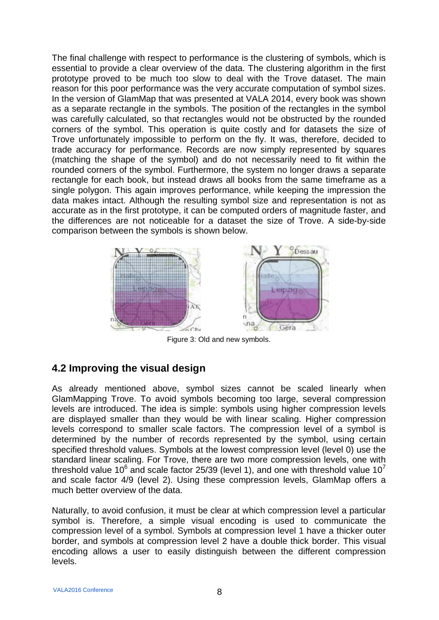The final challenge with respect to performance is the clustering of symbols, which is essential to provide a clear overview of the data. The clustering algorithm in the first prototype proved to be much too slow to deal with the Trove dataset. The main reason for this poor performance was the very accurate computation of symbol sizes. In the version of GlamMap that was presented at VALA 2014, every book was shown as a separate rectangle in the symbols. The position of the rectangles in the symbol was carefully calculated, so that rectangles would not be obstructed by the rounded corners of the symbol. This operation is quite costly and for datasets the size of Trove unfortunately impossible to perform on the fly. It was, therefore, decided to trade accuracy for performance. Records are now simply represented by squares (matching the shape of the symbol) and do not necessarily need to fit within the rounded corners of the symbol. Furthermore, the system no longer draws a separate rectangle for each book, but instead draws all books from the same timeframe as a single polygon. This again improves performance, while keeping the impression the data makes intact. Although the resulting symbol size and representation is not as accurate as in the first prototype, it can be computed orders of magnitude faster, and the differences are not noticeable for a dataset the size of Trove. A side-by-side comparison between the symbols is shown below.



Figure 3: Old and new symbols.

#### **4.2 Improving the visual design**

As already mentioned above, symbol sizes cannot be scaled linearly when GlamMapping Trove. To avoid symbols becoming too large, several compression levels are introduced. The idea is simple: symbols using higher compression levels are displayed smaller than they would be with linear scaling. Higher compression levels correspond to smaller scale factors. The compression level of a symbol is determined by the number of records represented by the symbol, using certain specified threshold values. Symbols at the lowest compression level (level 0) use the standard linear scaling. For Trove, there are two more compression levels, one with threshold value 10<sup>6</sup> and scale factor 25/39 (level 1), and one with threshold value 10<sup>7</sup> and scale factor 4/9 (level 2). Using these compression levels, GlamMap offers a much better overview of the data.

Naturally, to avoid confusion, it must be clear at which compression level a particular symbol is. Therefore, a simple visual encoding is used to communicate the compression level of a symbol. Symbols at compression level 1 have a thicker outer border, and symbols at compression level 2 have a double thick border. This visual encoding allows a user to easily distinguish between the different compression levels.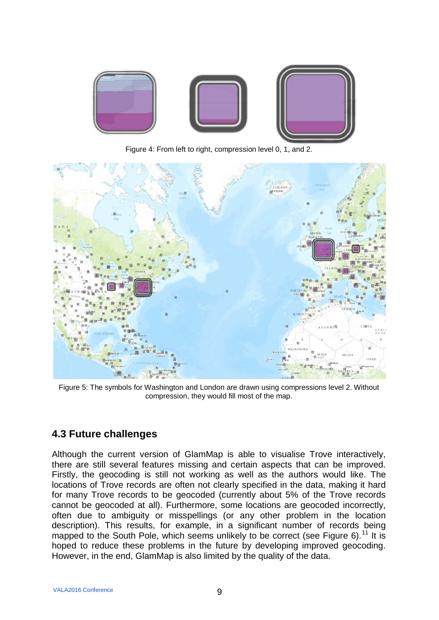

Figure 4: From left to right, compression level 0, 1, and 2.



Figure 5: The symbols for Washington and London are drawn using compressions level 2. Without compression, they would fill most of the map.

#### **4.3 Future challenges**

Although the current version of GlamMap is able to visualise Trove interactively, there are still several features missing and certain aspects that can be improved. Firstly, the geocoding is still not working as well as the authors would like. The locations of Trove records are often not clearly specified in the data, making it hard for many Trove records to be geocoded (currently about 5% of the Trove records cannot be geocoded at all). Furthermore, some locations are geocoded incorrectly, often due to ambiguity or misspellings (or any other problem in the location description). This results, for example, in a significant number of records being mapped to the South Pole, which seems unlikely to be correct (see Figure 6).<sup>[11](#page-18-10)</sup> It is hoped to reduce these problems in the future by developing improved geocoding. However, in the end, GlamMap is also limited by the quality of the data.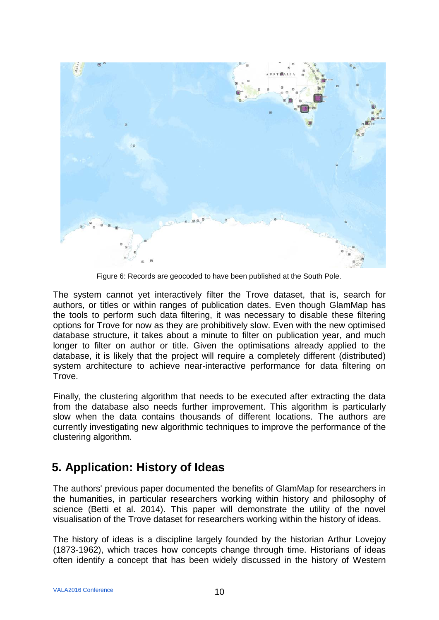

Figure 6: Records are geocoded to have been published at the South Pole.

The system cannot yet interactively filter the Trove dataset, that is, search for authors, or titles or within ranges of publication dates. Even though GlamMap has the tools to perform such data filtering, it was necessary to disable these filtering options for Trove for now as they are prohibitively slow. Even with the new optimised database structure, it takes about a minute to filter on publication year, and much longer to filter on author or title. Given the optimisations already applied to the database, it is likely that the project will require a completely different (distributed) system architecture to achieve near-interactive performance for data filtering on Trove.

Finally, the clustering algorithm that needs to be executed after extracting the data from the database also needs further improvement. This algorithm is particularly slow when the data contains thousands of different locations. The authors are currently investigating new algorithmic techniques to improve the performance of the clustering algorithm.

## **5. Application: History of Ideas**

The authors' previous paper documented the benefits of GlamMap for researchers in the humanities, in particular researchers working within history and philosophy of science (Betti et al. 2014). This paper will demonstrate the utility of the novel visualisation of the Trove dataset for researchers working within the history of ideas.

The history of ideas is a discipline largely founded by the historian Arthur Lovejoy (1873-1962), which traces how concepts change through time. Historians of ideas often identify a concept that has been widely discussed in the history of Western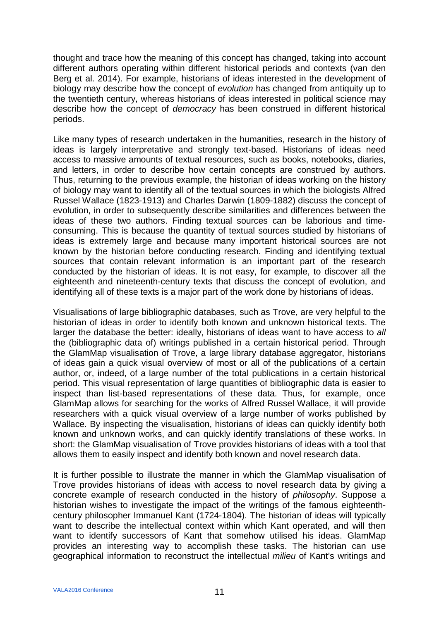thought and trace how the meaning of this concept has changed, taking into account different authors operating within different historical periods and contexts (van den Berg et al. 2014). For example, historians of ideas interested in the development of biology may describe how the concept of *evolution* has changed from antiquity up to the twentieth century, whereas historians of ideas interested in political science may describe how the concept of *democracy* has been construed in different historical periods.

Like many types of research undertaken in the humanities, research in the history of ideas is largely interpretative and strongly text-based. Historians of ideas need access to massive amounts of textual resources, such as books, notebooks, diaries, and letters, in order to describe how certain concepts are construed by authors. Thus, returning to the previous example, the historian of ideas working on the history of biology may want to identify all of the textual sources in which the biologists Alfred Russel Wallace (1823-1913) and Charles Darwin (1809-1882) discuss the concept of evolution, in order to subsequently describe similarities and differences between the ideas of these two authors. Finding textual sources can be laborious and timeconsuming. This is because the quantity of textual sources studied by historians of ideas is extremely large and because many important historical sources are not known by the historian before conducting research. Finding and identifying textual sources that contain relevant information is an important part of the research conducted by the historian of ideas. It is not easy, for example, to discover all the eighteenth and nineteenth-century texts that discuss the concept of evolution, and identifying all of these texts is a major part of the work done by historians of ideas.

Visualisations of large bibliographic databases, such as Trove, are very helpful to the historian of ideas in order to identify both known and unknown historical texts. The larger the database the better: ideally, historians of ideas want to have access to *all* the (bibliographic data of) writings published in a certain historical period. Through the GlamMap visualisation of Trove, a large library database aggregator, historians of ideas gain a quick visual overview of most or all of the publications of a certain author, or, indeed, of a large number of the total publications in a certain historical period. This visual representation of large quantities of bibliographic data is easier to inspect than list-based representations of these data. Thus, for example, once GlamMap allows for searching for the works of Alfred Russel Wallace, it will provide researchers with a quick visual overview of a large number of works published by Wallace. By inspecting the visualisation, historians of ideas can quickly identify both known and unknown works, and can quickly identify translations of these works. In short: the GlamMap visualisation of Trove provides historians of ideas with a tool that allows them to easily inspect and identify both known and novel research data.

It is further possible to illustrate the manner in which the GlamMap visualisation of Trove provides historians of ideas with access to novel research data by giving a concrete example of research conducted in the history of *philosophy*. Suppose a historian wishes to investigate the impact of the writings of the famous eighteenthcentury philosopher Immanuel Kant (1724-1804). The historian of ideas will typically want to describe the intellectual context within which Kant operated, and will then want to identify successors of Kant that somehow utilised his ideas. GlamMap provides an interesting way to accomplish these tasks. The historian can use geographical information to reconstruct the intellectual *milieu* of Kant's writings and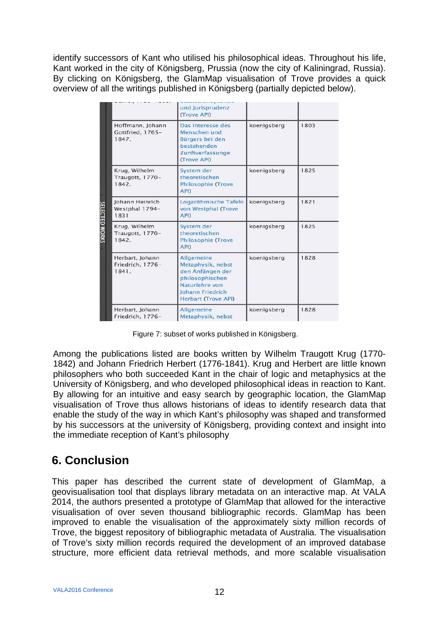identify successors of Kant who utilised his philosophical ideas. Throughout his life, Kant worked in the city of Königsberg, Prussia (now the city of Kaliningrad, Russia). By clicking on Königsberg, the GlamMap visualisation of Trove provides a quick overview of all the writings published in Königsberg (partially depicted below).

|                                               | und Jurisprudenz<br>(Trove API)                                                                                                                          |             |      |
|-----------------------------------------------|----------------------------------------------------------------------------------------------------------------------------------------------------------|-------------|------|
| Hoffmann, Johann<br>Gottfried, 1765-<br>1847. | Das Interesse des<br>Menschen und<br>Bürgers bei den<br>bestehenden<br>Zunftverfassunge<br>(Trove API)                                                   | koenigsberg | 1803 |
| Krug, Wilhelm<br>Traugott, 1770-<br>1842.     | System der<br>theoretischen<br><b>Philosophie (Trove</b><br>API)                                                                                         | koenigsberg | 1825 |
| Johann Heinrich<br>Westphal 1794-<br>1831     | Logarithmische Tafeln<br>von Westphal (Trove<br>API)                                                                                                     | koenigsberg | 1821 |
| Krug, Wilhelm<br>Traugott, 1770-<br>1842.     | System der<br>theoretischen<br><b>Philosophie (Trove</b><br>API)                                                                                         | koenigsberg | 1825 |
| Herbart, Johann<br>Friedrich, 1776-<br>1841.  | <b>Allgemeine</b><br>Metaphysik, nebst<br>den Anfängen der<br>philosophischen<br>Naturlehre von<br><b>Johann Friedrich</b><br><b>Herbart (Trove API)</b> | koenigsberg | 1828 |
| Herbart, Johann<br>Friedrich, 1776-           | Allgemeine<br>Metaphysik, nebst                                                                                                                          | koenigsberg | 1828 |

Figure 7: subset of works published in Königsberg.

Among the publications listed are books written by Wilhelm Traugott Krug (1770- 1842) and Johann Friedrich Herbert (1776-1841). Krug and Herbert are little known philosophers who both succeeded Kant in the chair of logic and metaphysics at the University of Königsberg, and who developed philosophical ideas in reaction to Kant. By allowing for an intuitive and easy search by geographic location, the GlamMap visualisation of Trove thus allows historians of ideas to identify research data that enable the study of the way in which Kant's philosophy was shaped and transformed by his successors at the university of Königsberg, providing context and insight into the immediate reception of Kant's philosophy

### **6. Conclusion**

This paper has described the current state of development of GlamMap, a geovisualisation tool that displays library metadata on an interactive map. At VALA 2014, the authors presented a prototype of GlamMap that allowed for the interactive visualisation of over seven thousand bibliographic records. GlamMap has been improved to enable the visualisation of the approximately sixty million records of Trove, the biggest repository of bibliographic metadata of Australia. The visualisation of Trove's sixty million records required the development of an improved database structure, more efficient data retrieval methods, and more scalable visualisation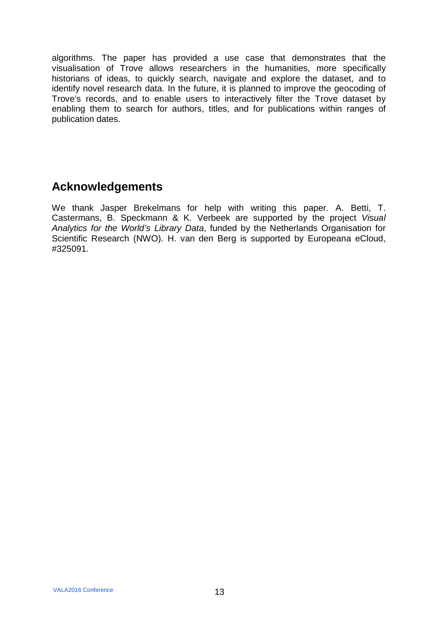algorithms. The paper has provided a use case that demonstrates that the visualisation of Trove allows researchers in the humanities, more specifically historians of ideas, to quickly search, navigate and explore the dataset, and to identify novel research data. In the future, it is planned to improve the geocoding of Trove's records, and to enable users to interactively filter the Trove dataset by enabling them to search for authors, titles, and for publications within ranges of publication dates.

## **Acknowledgements**

We thank Jasper Brekelmans for help with writing this paper. A. Betti, T. Castermans, B. Speckmann & K. Verbeek are supported by the project *Visual Analytics for the World's Library Data*, funded by the Netherlands Organisation for Scientific Research (NWO). H. van den Berg is supported by Europeana eCloud, #325091.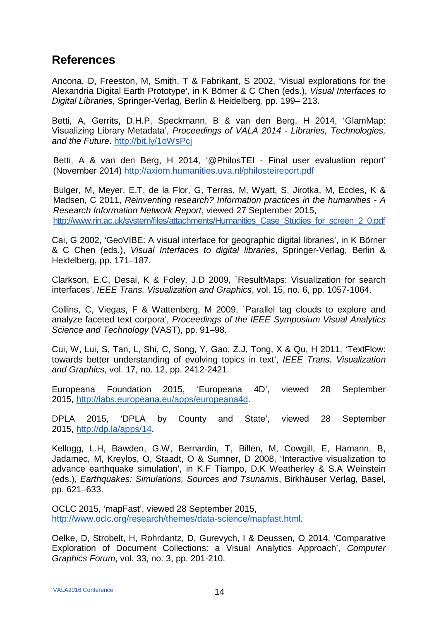#### **References**

Ancona, D, Freeston, M, Smith, T & Fabrikant, S 2002, 'Visual explorations for the Alexandria Digital Earth Prototype', in K Börner & C Chen (eds.), *Visual Interfaces to Digital Libraries,* Springer-Verlag, Berlin & Heidelberg, pp. 199– 213.

Betti, A, Gerrits, D.H.P, Speckmann, B & van den Berg, H 2014, 'GlamMap: Visualizing Library Metadata', *Proceedings of VALA 2014 - Libraries, Technologies, and the Future*.<http://bit.ly/1oWsPcj>

Betti, A & van den Berg, H 2014, '@PhilosTEI - Final user evaluation report' (November 2014)<http://axiom.humanities.uva.nl/philosteireport.pdf>

Bulger, M, Meyer, E.T, de la Flor, G, Terras, M, Wyatt, S, Jirotka, M, Eccles, K & Madsen, C 2011, *Reinventing research? Information practices in the humanities - A Research Information Network Report*, viewed 27 September 2015, [http://www.rin.ac.uk/system/files/attachments/Humanities\\_Case\\_Studies\\_for\\_screen\\_2\\_0.pdf](http://www.rin.ac.uk/system/files/attachments/Humanities_Case_Studies_for_screen_2_0.pdf)

Cai, G 2002, 'GeoVIBE: A visual interface for geographic digital libraries', in K Börner & C Chen (eds.), *Visual Interfaces to digital libraries*, Springer-Verlag, Berlin & Heidelberg, pp. 171–187.

Clarkson, E.C, Desai, K & Foley, J.D 2009, `ResultMaps: Visualization for search interfaces', *IEEE Trans. Visualization and Graphics*, vol. 15, no. 6, pp. 1057-1064.

Collins, C, Viegas, F & Wattenberg, M 2009, `Parallel tag clouds to explore and analyze faceted text corpora', *Proceedings of the IEEE Symposium Visual Analytics Science and Technology* (VAST), pp. 91–98.

Cui, W, Lui, S, Tan, L, Shi, C, Song, Y, Gao, Z.J, Tong, X & Qu, H 2011, 'TextFlow: towards better understanding of evolving topics in text', *IEEE Trans. Visualization and Graphics*, vol. 17, no. 12, pp. 2412-2421.

Europeana Foundation 2015, 'Europeana 4D', viewed 28 September 2015, [http://labs.europeana.eu/apps/europeana4d.](http://labs.europeana.eu/apps/europeana4d)

DPLA 2015, 'DPLA by County and State', viewed 28 September 2015, [http://dp.la/apps/14.](http://dp.la/apps/14)

Kellogg, L.H, Bawden, G.W, Bernardin, T, Billen, M, Cowgill, E, Hamann, B, Jadamec, M, Kreylos, O, Staadt, O & Sumner, D 2008, 'Interactive visualization to advance earthquake simulation', in K.F Tiampo, D.K Weatherley & S.A Weinstein (eds.), *Earthquakes: Simulations, Sources and Tsunamis*, Birkhäuser Verlag, Basel, pp. 621–633.

OCLC 2015, 'mapFast', viewed 28 September 2015, [http://www.oclc.org/research/themes/data-science/mapfast.html.](http://www.oclc.org/research/themes/data-science/mapfast.html)

Oelke, D, Strobelt, H, Rohrdantz, D, Gurevych, I & Deussen, O 2014, 'Comparative Exploration of Document Collections: a Visual Analytics Approach', *Computer Graphics Forum*, vol. 33, no. 3, pp. 201-210.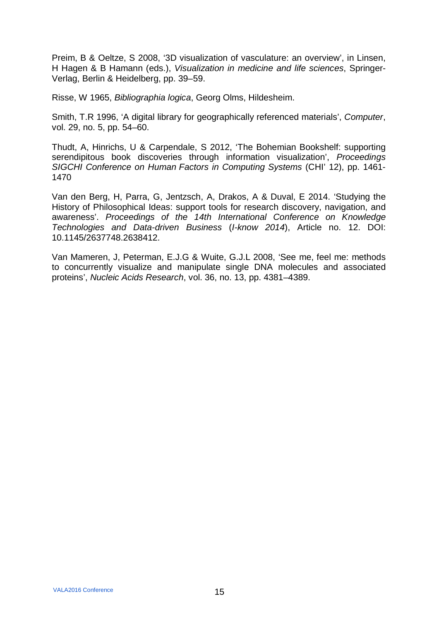Preim, B & Oeltze, S 2008, '3D visualization of vasculature: an overview', in Linsen, H Hagen & B Hamann (eds.), *Visualization in medicine and life sciences*, Springer-Verlag, Berlin & Heidelberg, pp. 39–59.

Risse, W 1965, *Bibliographia logica*, Georg Olms, Hildesheim.

Smith, T.R 1996, 'A digital library for geographically referenced materials', *Computer*, vol. 29, no. 5, pp. 54–60.

Thudt, A, Hinrichs, U & Carpendale, S 2012, 'The Bohemian Bookshelf: supporting serendipitous book discoveries through information visualization', *Proceedings SIGCHI Conference on Human Factors in Computing Systems* (CHI' 12), pp. 1461- 1470

Van den Berg, H, Parra, G, Jentzsch, A, Drakos, A & Duval, E 2014. 'Studying the History of Philosophical Ideas: support tools for research discovery, navigation, and awareness'. *Proceedings of the 14th International Conference on Knowledge Technologies and Data-driven Business* (*I-know 2014*), Article no. 12. DOI: 10.1145/2637748.2638412.

Van Mameren, J, Peterman, E.J.G & Wuite, G.J.L 2008, 'See me, feel me: methods to concurrently visualize and manipulate single DNA molecules and associated proteins', *Nucleic Acids Research*, vol. 36, no. 13, pp. 4381–4389.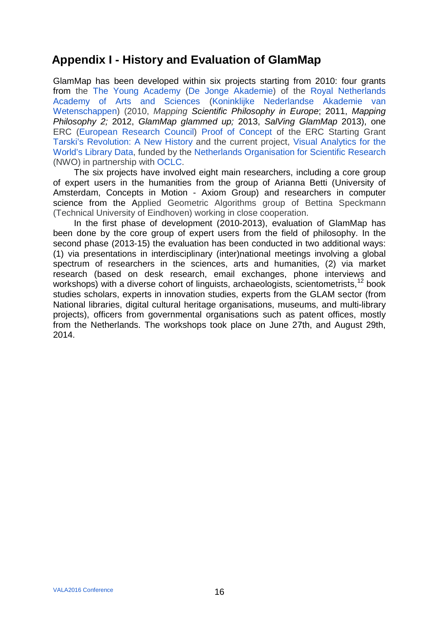### **Appendix I - History and Evaluation of GlamMap**

GlamMap has been developed within six projects starting from 2010: four grants from the [The Young Academy](http://www.dejongeakademie.nl/en) [\(De Jonge Akademie\)](http://www.dejongeakademie.nl/) of the [Royal Netherlands](http://knaw.nl/en)  [Academy of Arts and Sciences](http://knaw.nl/en) [\(Koninklijke Nederlandse Akademie van](http://www.knaw.nl/)  [Wetenschappen\)](http://www.knaw.nl/) (2010, *Mapping Scientific Philosophy in Europe*; 2011, *Mapping Philosophy 2;* 2012, *GlamMap glammed up;* 2013, *SalVing GlamMap* 2013), one ERC [\(European Research Council\)](http://erc.europa.eu/) [Proof of Concept](http://erc.europa.eu/mapping-culture-glammap-scalability-insightful-metadata-visualisation-glam-cultural-heritage-sector) of the ERC Starting Grant [Tarski's Revolution: A New History](http://axiom.vu.nl/) and the current project, [Visual Analytics](http://www.nwo.nl/en/research-and-results/research-projects/80/2300188480.html) for the [World's Library Data,](http://www.nwo.nl/en/research-and-results/research-projects/80/2300188480.html) funded by the [Netherlands Organisation for Scientific Research](http://www.nwo.nl/) (NWO) in partnership with [OCLC.](http://www.oclc.org/)

The six projects have involved eight main researchers, including a core group of expert users in the humanities from the group of Arianna Betti (University of Amsterdam, Concepts in Motion - Axiom Group) and researchers in computer science from the Applied Geometric Algorithms group of Bettina Speckmann (Technical University of Eindhoven) working in close cooperation.

In the first phase of development (2010-2013), evaluation of GlamMap has been done by the core group of expert users from the field of philosophy. In the second phase (2013-15) the evaluation has been conducted in two additional ways: (1) via presentations in interdisciplinary (inter)national meetings involving a global spectrum of researchers in the sciences, arts and humanities, (2) via market research (based on desk research, email exchanges, phone interviews and workshops) with a diverse cohort of linguists, archaeologists, scientometrists, <sup>[12](#page-18-11)</sup> book studies scholars, experts in innovation studies, experts from the GLAM sector (from National libraries, digital cultural heritage organisations, museums, and multi-library projects), officers from governmental organisations such as patent offices, mostly from the Netherlands. The workshops took place on June 27th, and August 29th, 2014.